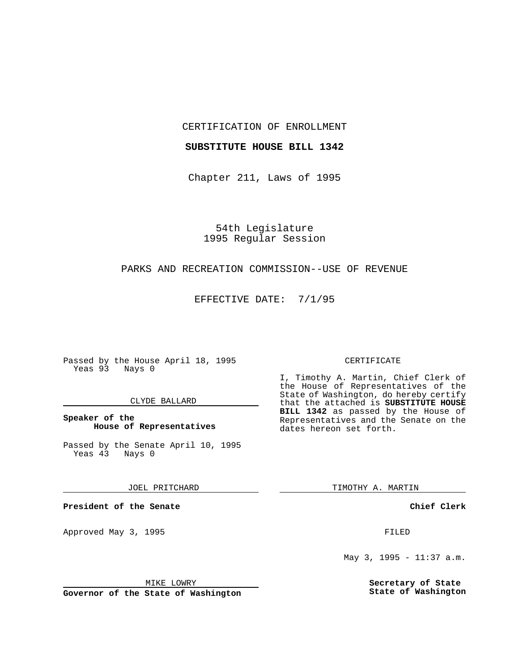CERTIFICATION OF ENROLLMENT

### **SUBSTITUTE HOUSE BILL 1342**

Chapter 211, Laws of 1995

54th Legislature 1995 Regular Session

## PARKS AND RECREATION COMMISSION--USE OF REVENUE

EFFECTIVE DATE: 7/1/95

Passed by the House April 18, 1995 Yeas 93 Nays 0

### CLYDE BALLARD

## **Speaker of the House of Representatives**

Passed by the Senate April 10, 1995<br>Yeas 43 Nays 0 Yeas 43

JOEL PRITCHARD

**President of the Senate**

Approved May 3, 1995 **FILED** 

MIKE LOWRY

**Governor of the State of Washington**

#### CERTIFICATE

I, Timothy A. Martin, Chief Clerk of the House of Representatives of the State of Washington, do hereby certify that the attached is **SUBSTITUTE HOUSE BILL 1342** as passed by the House of Representatives and the Senate on the dates hereon set forth.

TIMOTHY A. MARTIN

**Chief Clerk**

May 3, 1995 - 11:37 a.m.

**Secretary of State State of Washington**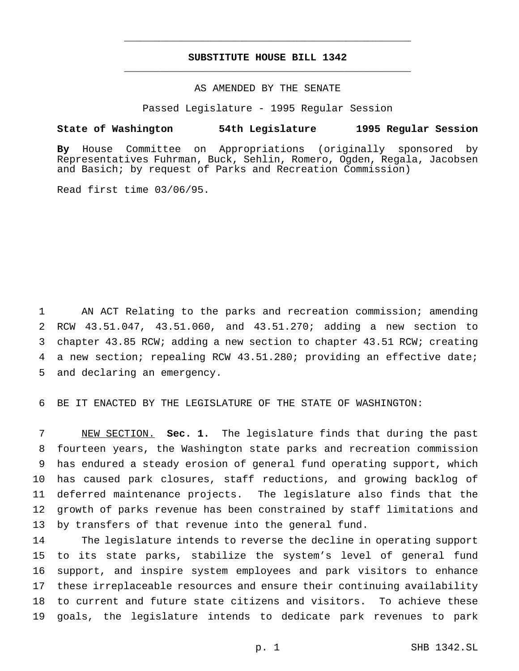# **SUBSTITUTE HOUSE BILL 1342** \_\_\_\_\_\_\_\_\_\_\_\_\_\_\_\_\_\_\_\_\_\_\_\_\_\_\_\_\_\_\_\_\_\_\_\_\_\_\_\_\_\_\_\_\_\_\_

\_\_\_\_\_\_\_\_\_\_\_\_\_\_\_\_\_\_\_\_\_\_\_\_\_\_\_\_\_\_\_\_\_\_\_\_\_\_\_\_\_\_\_\_\_\_\_

# AS AMENDED BY THE SENATE

Passed Legislature - 1995 Regular Session

#### **State of Washington 54th Legislature 1995 Regular Session**

**By** House Committee on Appropriations (originally sponsored by Representatives Fuhrman, Buck, Sehlin, Romero, Ogden, Regala, Jacobsen and Basich; by request of Parks and Recreation Commission)

Read first time 03/06/95.

 AN ACT Relating to the parks and recreation commission; amending RCW 43.51.047, 43.51.060, and 43.51.270; adding a new section to chapter 43.85 RCW; adding a new section to chapter 43.51 RCW; creating a new section; repealing RCW 43.51.280; providing an effective date; and declaring an emergency.

BE IT ENACTED BY THE LEGISLATURE OF THE STATE OF WASHINGTON:

 NEW SECTION. **Sec. 1.** The legislature finds that during the past fourteen years, the Washington state parks and recreation commission has endured a steady erosion of general fund operating support, which has caused park closures, staff reductions, and growing backlog of deferred maintenance projects. The legislature also finds that the growth of parks revenue has been constrained by staff limitations and by transfers of that revenue into the general fund.

 The legislature intends to reverse the decline in operating support to its state parks, stabilize the system's level of general fund support, and inspire system employees and park visitors to enhance these irreplaceable resources and ensure their continuing availability to current and future state citizens and visitors. To achieve these goals, the legislature intends to dedicate park revenues to park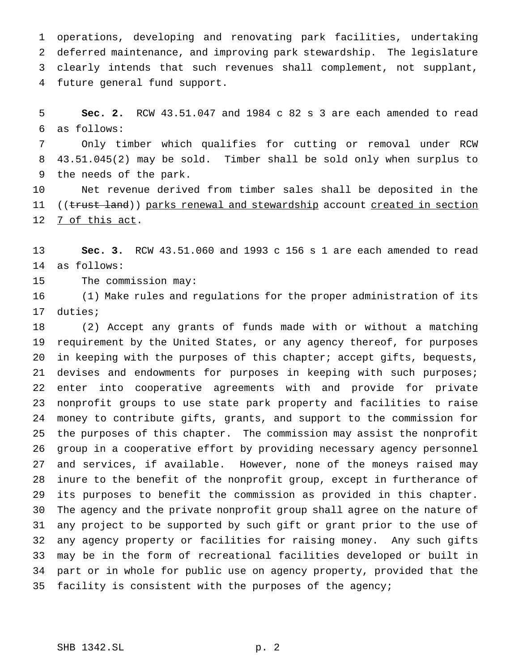operations, developing and renovating park facilities, undertaking deferred maintenance, and improving park stewardship. The legislature clearly intends that such revenues shall complement, not supplant, future general fund support.

 **Sec. 2.** RCW 43.51.047 and 1984 c 82 s 3 are each amended to read as follows:

 Only timber which qualifies for cutting or removal under RCW 43.51.045(2) may be sold. Timber shall be sold only when surplus to the needs of the park.

 Net revenue derived from timber sales shall be deposited in the 11 ((trust land)) parks renewal and stewardship account created in section 7 of this act.

 **Sec. 3.** RCW 43.51.060 and 1993 c 156 s 1 are each amended to read as follows:

The commission may:

 (1) Make rules and regulations for the proper administration of its duties;

 (2) Accept any grants of funds made with or without a matching requirement by the United States, or any agency thereof, for purposes in keeping with the purposes of this chapter; accept gifts, bequests, 21 devises and endowments for purposes in keeping with such purposes; enter into cooperative agreements with and provide for private nonprofit groups to use state park property and facilities to raise money to contribute gifts, grants, and support to the commission for the purposes of this chapter. The commission may assist the nonprofit group in a cooperative effort by providing necessary agency personnel and services, if available. However, none of the moneys raised may inure to the benefit of the nonprofit group, except in furtherance of its purposes to benefit the commission as provided in this chapter. The agency and the private nonprofit group shall agree on the nature of any project to be supported by such gift or grant prior to the use of any agency property or facilities for raising money. Any such gifts may be in the form of recreational facilities developed or built in part or in whole for public use on agency property, provided that the facility is consistent with the purposes of the agency;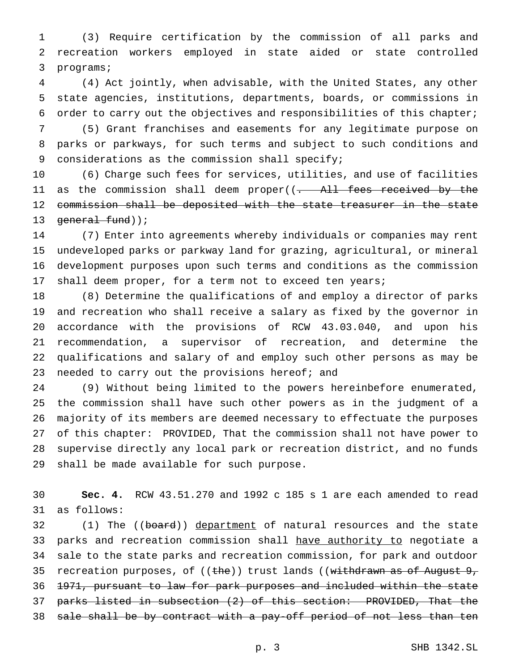(3) Require certification by the commission of all parks and recreation workers employed in state aided or state controlled programs;

 (4) Act jointly, when advisable, with the United States, any other state agencies, institutions, departments, boards, or commissions in order to carry out the objectives and responsibilities of this chapter;

 (5) Grant franchises and easements for any legitimate purpose on parks or parkways, for such terms and subject to such conditions and 9 considerations as the commission shall specify;

 (6) Charge such fees for services, utilities, and use of facilities 11 as the commission shall deem proper((<del>. All fees received by the</del> 12 commission shall be deposited with the state treasurer in the state 13 general fund));

 (7) Enter into agreements whereby individuals or companies may rent undeveloped parks or parkway land for grazing, agricultural, or mineral development purposes upon such terms and conditions as the commission shall deem proper, for a term not to exceed ten years;

 (8) Determine the qualifications of and employ a director of parks and recreation who shall receive a salary as fixed by the governor in accordance with the provisions of RCW 43.03.040, and upon his recommendation, a supervisor of recreation, and determine the qualifications and salary of and employ such other persons as may be 23 needed to carry out the provisions hereof; and

 (9) Without being limited to the powers hereinbefore enumerated, the commission shall have such other powers as in the judgment of a majority of its members are deemed necessary to effectuate the purposes of this chapter: PROVIDED, That the commission shall not have power to supervise directly any local park or recreation district, and no funds shall be made available for such purpose.

 **Sec. 4.** RCW 43.51.270 and 1992 c 185 s 1 are each amended to read as follows:

32 (1) The ((board)) department of natural resources and the state 33 parks and recreation commission shall have authority to negotiate a sale to the state parks and recreation commission, for park and outdoor 35 recreation purposes, of  $((the)$ ) trust lands  $((with drawn as of August 9, 1)$  1971, pursuant to law for park purposes and included within the state parks listed in subsection (2) of this section: PROVIDED, That the sale shall be by contract with a pay-off period of not less than ten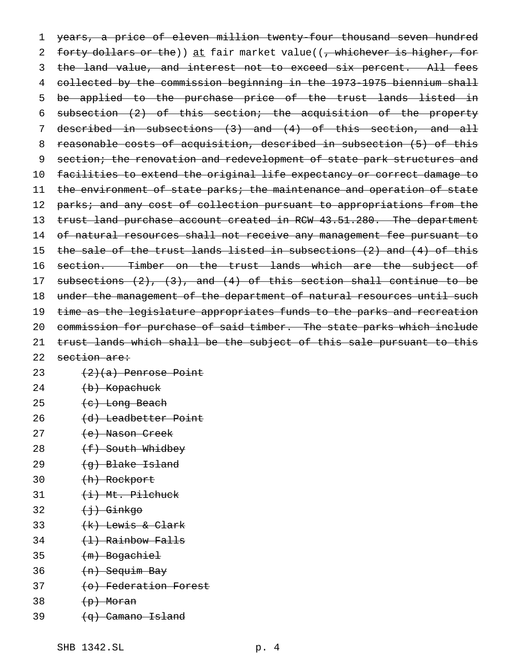1 years, a price of eleven million twenty-four thousand seven hundred 2 forty dollars or the)) at fair market value((, whichever is higher, for 3 the land value, and interest not to exceed six percent. All fees 4 collected by the commission beginning in the 1973-1975 biennium shall 5 be applied to the purchase price of the trust lands listed in 6 subsection (2) of this section; the acquisition of the property 7 described in subsections (3) and (4) of this section, and all 8 reasonable costs of acquisition, described in subsection (5) of this 9 section; the renovation and redevelopment of state park structures and 10 facilities to extend the original life expectancy or correct damage to 11 the environment of state parks; the maintenance and operation of state 12 parks; and any cost of collection pursuant to appropriations from the 13 trust land purchase account created in RCW 43.51.280. The department 14 of natural resources shall not receive any management fee pursuant to 15 the sale of the trust lands listed in subsections (2) and (4) of this 16 section. Timber on the trust lands which are the subject of 17 subsections  $(2)$ ,  $(3)$ , and  $(4)$  of this section shall continue to be 18 under the management of the department of natural resources until such 19 time as the legislature appropriates funds to the parks and recreation 20 commission for purchase of said timber. The state parks which include 21 trust lands which shall be the subject of this sale pursuant to this 22 section are: 23  $(2)(a)$  Penrose Point

- $24$   $(b)$  Kopachuck
- $25 \left( e \right)$  Long Beach
- 26 (d) Leadbetter Point
- 27 (e) Nason Creek
- 28 <del>(f) South Whidbey</del>
- 29  $(q)$  Blake Island
- 30 (h) Rockport
- 31  $(i)$  Mt. Pilchuck
- $32 \left( \frac{1}{2} \right)$  Ginkgo
- 33  $(k)$  Lewis & Clark
- $34$   $(1)$  Rainbow Falls
- 35 (m) Bogachiel
- 36 (n) Sequim Bay
- 37 (o) Federation Forest
- $38$   $(p)$  Moran
- $39 \left( q \right)$  Camano Island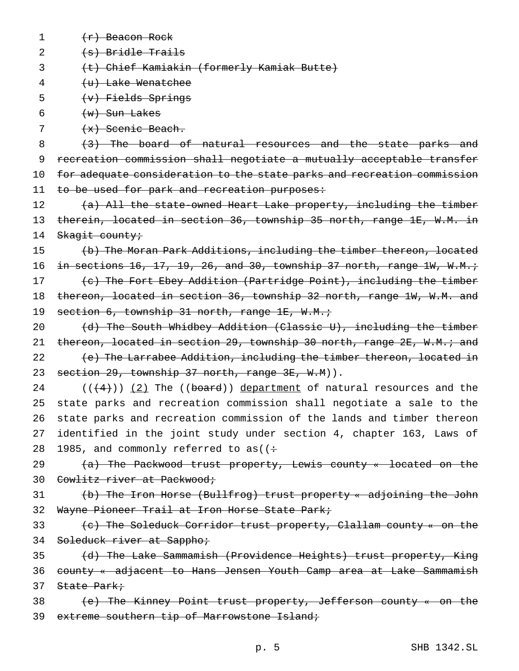1  $(r)$  Beacon Rock

2  $(s)$  Bridle Trails

3 (t) Chief Kamiakin (formerly Kamiak Butte)

4 (u) Lake Wenatchee

- 5 (v) Fields Springs
- 6  $(w)$  Sun Lakes

7  $+x)$  Scenic Beach.

8 (3) The board of natural resources and the state parks and 9 recreation commission shall negotiate a mutually acceptable transfer 10 for adequate consideration to the state parks and recreation commission 11 to be used for park and recreation purposes:

12 (a) All the state-owned Heart Lake property, including the timber 13 therein, located in section 36, township 35 north, range 1E, W.M. in 14 Skagit county;

15 (b) The Moran Park Additions, including the timber thereon, located 16 in sections 16, 17, 19, 26, and 30, township 37 north, range  $1W$ ,  $W.M.$ ; 17 (c) The Fort Ebey Addition (Partridge Point), including the timber 18 thereon, located in section 36, township 32 north, range 1W, W.M. and 19 section 6, township 31 north, range 1E, W.M.;

20 (d) The South Whidbey Addition (Classic U), including the timber 21 thereon, located in section 29, township 30 north, range 2E, W.M.; and 22 (e) The Larrabee Addition, including the timber thereon, located in 23 section 29, township 37 north, range 3E, W.M)).

 $((\frac{4}{2}))(2)$  The ((board)) department of natural resources and the state parks and recreation commission shall negotiate a sale to the state parks and recreation commission of the lands and timber thereon identified in the joint study under section 4, chapter 163, Laws of 28 1985, and commonly referred to as( $($ :

29 (a) The Packwood trust property, Lewis county « located on the 30 Cowlitz river at Packwood;

31 (b) The Iron Horse (Bullfrog) trust property « adjoining the John 32 Wayne Pioneer Trail at Iron Horse State Park;

33 (c) The Soleduck Corridor trust property, Clallam county « on the 34 Soleduck river at Sappho;

35 (d) The Lake Sammamish (Providence Heights) trust property, King 36 county « adjacent to Hans Jensen Youth Camp area at Lake Sammamish 37 State Park;

38 (e) The Kinney Point trust property, Jefferson county « on the 39 extreme southern tip of Marrowstone Island;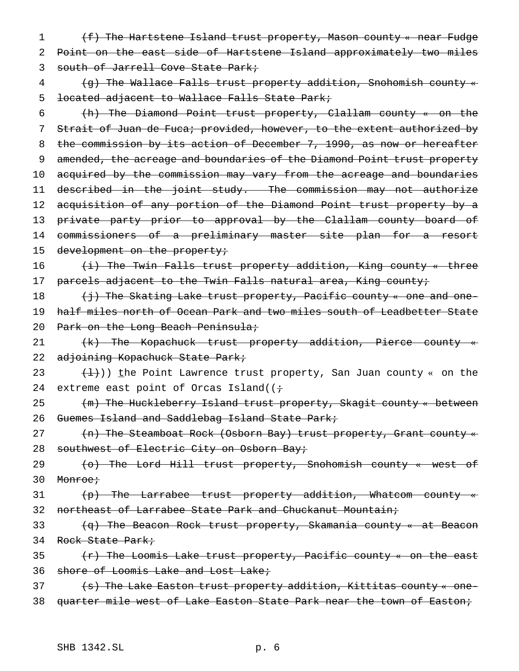1 (f) The Hartstene Island trust property, Mason county « near Fudge 2 Point on the east side of Hartstene Island approximately two miles 3 south of Jarrell Cove State Park;

4 (g) The Wallace Falls trust property addition, Snohomish county « 5 located adjacent to Wallace Falls State Park;

6 (h) The Diamond Point trust property, Clallam county « on the 7 Strait of Juan de Fuca; provided, however, to the extent authorized by 8 the commission by its action of December 7, 1990, as now or hereafter 9 amended, the acreage and boundaries of the Diamond Point trust property 10 acquired by the commission may vary from the acreage and boundaries 11 described in the joint study. The commission may not authorize 12 acquisition of any portion of the Diamond Point trust property by a 13 private party prior to approval by the Clallam county board of 14 commissioners of a preliminary master site plan for a resort

15 development on the property;

16 (i) The Twin Falls trust property addition, King county « three 17 parcels adjacent to the Twin Falls natural area, King county;

18 (j) The Skating Lake trust property, Pacific county « one and one-19 half miles north of Ocean Park and two miles south of Leadbetter State 20 Park on the Long Beach Peninsula;

21 (k) The Kopachuck trust property addition, Pierce county « 22 adjoining Kopachuck State Park;

23  $(\frac{1}{2})$ ) the Point Lawrence trust property, San Juan county « on the 24 extreme east point of Orcas Island( $(i+$ 

25 (m) The Huckleberry Island trust property, Skagit county « between 26 Guemes Island and Saddlebag Island State Park;

27 (n) The Steamboat Rock (Osborn Bay) trust property, Grant county « 28 southwest of Electric City on Osborn Bay;

29 (o) The Lord Hill trust property, Snohomish county « west of 30 Monroe;

31 (p) The Larrabee trust property addition, Whatcom county « 32 northeast of Larrabee State Park and Chuckanut Mountain;

33 (q) The Beacon Rock trust property, Skamania county « at Beacon 34 Rock State Park;

35  $(r)$  The Loomis Lake trust property, Pacific county « on the east 36 shore of Loomis Lake and Lost Lake;

37 (s) The Lake Easton trust property addition, Kittitas county « one-38 quarter mile west of Lake Easton State Park near the town of Easton;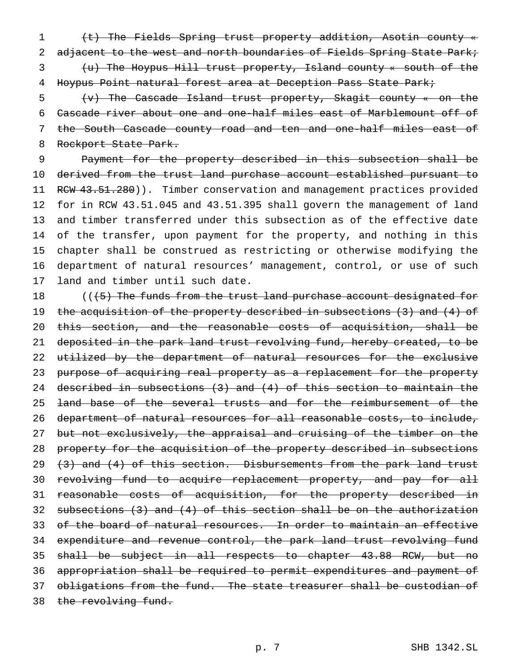(t) The Fields Spring trust property addition, Asotin county « 2 adjacent to the west and north boundaries of Fields Spring State Park; (u) The Hoypus Hill trust property, Island county « south of the Hoypus Point natural forest area at Deception Pass State Park;

 (v) The Cascade Island trust property, Skagit county « on the Cascade river about one and one-half miles east of Marblemount off of the South Cascade county road and ten and one-half miles east of 8 Rockport State Park.

 Payment for the property described in this subsection shall be derived from the trust land purchase account established pursuant to 11 RCW 43.51.280)). Timber conservation and management practices provided for in RCW 43.51.045 and 43.51.395 shall govern the management of land and timber transferred under this subsection as of the effective date of the transfer, upon payment for the property, and nothing in this chapter shall be construed as restricting or otherwise modifying the department of natural resources' management, control, or use of such land and timber until such date.

18 (((5) The funds from the trust land purchase account designated for 19 the acquisition of the property described in subsections (3) and (4) of 20 this section, and the reasonable costs of acquisition, shall be 21 deposited in the park land trust revolving fund, hereby created, to be 22 utilized by the department of natural resources for the exclusive 23 purpose of acquiring real property as a replacement for the property 24 described in subsections (3) and (4) of this section to maintain the 25 <del>land base of the several trusts and for the reimbursement of the</del> 26 department of natural resources for all reasonable costs, to include, 27 but not exclusively, the appraisal and cruising of the timber on the 28 property for the acquisition of the property described in subsections 29  $(3)$  and  $(4)$  of this section. Disbursements from the park land trust 30 revolving fund to acquire replacement property, and pay for all 31 reasonable costs of acquisition, for the property described in 32 subsections  $(3)$  and  $(4)$  of this section shall be on the authorization 33 of the board of natural resources. In order to maintain an effective 34 expenditure and revenue control, the park land trust revolving fund 35 shall be subject in all respects to chapter 43.88 RCW, but no 36 appropriation shall be required to permit expenditures and payment of 37 obligations from the fund. The state treasurer shall be custodian of 38 the revolving fund.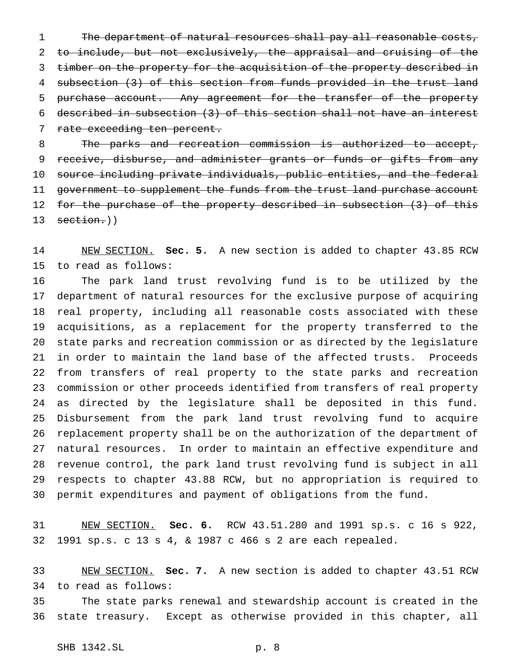1 The department of natural resources shall pay all reasonable costs, to include, but not exclusively, the appraisal and cruising of the 3 timber on the property for the acquisition of the property described in subsection (3) of this section from funds provided in the trust land 5 purchase account. Any agreement for the transfer of the property described in subsection (3) of this section shall not have an interest 7 rate exceeding ten percent.

 The parks and recreation commission is authorized to accept, 9 receive, disburse, and administer grants or funds or gifts from any source including private individuals, public entities, and the federal 11 government to supplement the funds from the trust land purchase account 12 for the purchase of the property described in subsection (3) of this 13 section.))

 NEW SECTION. **Sec. 5.** A new section is added to chapter 43.85 RCW to read as follows:

 The park land trust revolving fund is to be utilized by the department of natural resources for the exclusive purpose of acquiring real property, including all reasonable costs associated with these acquisitions, as a replacement for the property transferred to the state parks and recreation commission or as directed by the legislature in order to maintain the land base of the affected trusts. Proceeds from transfers of real property to the state parks and recreation commission or other proceeds identified from transfers of real property as directed by the legislature shall be deposited in this fund. Disbursement from the park land trust revolving fund to acquire replacement property shall be on the authorization of the department of natural resources. In order to maintain an effective expenditure and revenue control, the park land trust revolving fund is subject in all respects to chapter 43.88 RCW, but no appropriation is required to permit expenditures and payment of obligations from the fund.

 NEW SECTION. **Sec. 6.** RCW 43.51.280 and 1991 sp.s. c 16 s 922, 1991 sp.s. c 13 s 4, & 1987 c 466 s 2 are each repealed.

 NEW SECTION. **Sec. 7.** A new section is added to chapter 43.51 RCW to read as follows:

 The state parks renewal and stewardship account is created in the state treasury. Except as otherwise provided in this chapter, all